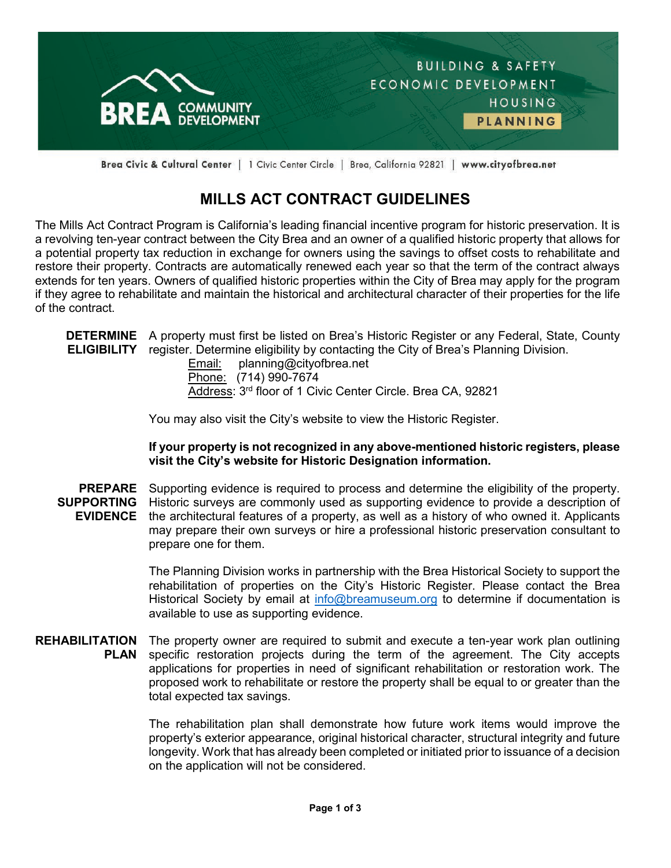

Brea Civic & Cultural Center | 1 Civic Center Circle | Brea, California 92821 | www.cityofbrea.net

## **MILLS ACT CONTRACT GUIDELINES**

The Mills Act Contract Program is California's leading financial incentive program for historic preservation. It is a revolving ten-year contract between the City Brea and an owner of a qualified historic property that allows for a potential property tax reduction in exchange for owners using the savings to offset costs to rehabilitate and restore their property. Contracts are automatically renewed each year so that the term of the contract always extends for ten years. Owners of qualified historic properties within the City of Brea may apply for the program if they agree to rehabilitate and maintain the historical and architectural character of their properties for the life of the contract.

**DETERMINE**  A property must first be listed on Brea's Historic Register or any Federal, State, County **ELIGIBILITY** register. Determine eligibility by contacting the City of Brea's Planning Division.

> Email: planning@cityofbrea.net Phone: (714) 990-7674 Address: 3rd floor of 1 Civic Center Circle. Brea CA, 92821

You may also visit the City's website to view the Historic Register.

## **If your property is not recognized in any above-mentioned historic registers, please visit the City's website for Historic Designation information.**

**PREPARE**  Supporting evidence is required to process and determine the eligibility of the property. **SUPPORTING**  Historic surveys are commonly used as supporting evidence to provide a description of **EVIDENCE** the architectural features of a property, as well as a history of who owned it. Applicants may prepare their own surveys or hire a professional historic preservation consultant to prepare one for them.

> The Planning Division works in partnership with the Brea Historical Society to support the rehabilitation of properties on the City's Historic Register. Please contact the Brea Historical Society by email at [info@breamuseum.org](mailto:info@breamuseum.org) to determine if documentation is available to use as supporting evidence.

**REHABILITATION PLAN** The property owner are required to submit and execute a ten-year work plan outlining specific restoration projects during the term of the agreement. The City accepts applications for properties in need of significant rehabilitation or restoration work. The proposed work to rehabilitate or restore the property shall be equal to or greater than the total expected tax savings.

> The rehabilitation plan shall demonstrate how future work items would improve the property's exterior appearance, original historical character, structural integrity and future longevity. Work that has already been completed or initiated prior to issuance of a decision on the application will not be considered.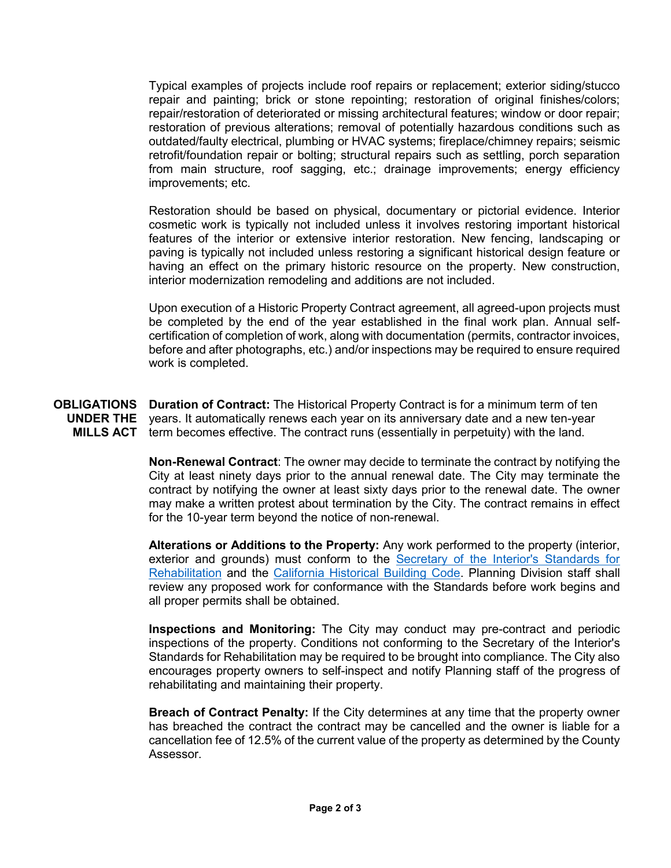Typical examples of projects include roof repairs or replacement; exterior siding/stucco repair and painting; brick or stone repointing; restoration of original finishes/colors; repair/restoration of deteriorated or missing architectural features; window or door repair; restoration of previous alterations; removal of potentially hazardous conditions such as outdated/faulty electrical, plumbing or HVAC systems; fireplace/chimney repairs; seismic retrofit/foundation repair or bolting; structural repairs such as settling, porch separation from main structure, roof sagging, etc.; drainage improvements; energy efficiency improvements; etc.

Restoration should be based on physical, documentary or pictorial evidence. Interior cosmetic work is typically not included unless it involves restoring important historical features of the interior or extensive interior restoration. New fencing, landscaping or paving is typically not included unless restoring a significant historical design feature or having an effect on the primary historic resource on the property. New construction, interior modernization remodeling and additions are not included.

Upon execution of a Historic Property Contract agreement, all agreed-upon projects must be completed by the end of the year established in the final work plan. Annual selfcertification of completion of work, along with documentation (permits, contractor invoices, before and after photographs, etc.) and/or inspections may be required to ensure required work is completed.

**OBLIGATIONS UNDER THE MILLS ACT Duration of Contract:** The Historical Property Contract is for a minimum term of ten years. It automatically renews each year on its anniversary date and a new ten-year term becomes effective. The contract runs (essentially in perpetuity) with the land.

> **Non-Renewal Contract**: The owner may decide to terminate the contract by notifying the City at least ninety days prior to the annual renewal date. The City may terminate the contract by notifying the owner at least sixty days prior to the renewal date. The owner may make a written protest about termination by the City. The contract remains in effect for the 10-year term beyond the notice of non-renewal.

> **Alterations or Additions to the Property:** Any work performed to the property (interior, exterior and grounds) must conform to the [Secretary of the Interior's Standards for](https://www.nps.gov/tps/standards.htm)  [Rehabilitation](https://www.nps.gov/tps/standards.htm) and the [California Historical Building Code.](https://ohp.parks.ca.gov/?page_id=21410) Planning Division staff shall review any proposed work for conformance with the Standards before work begins and all proper permits shall be obtained.

> **Inspections and Monitoring:** The City may conduct may pre-contract and periodic inspections of the property. Conditions not conforming to the Secretary of the Interior's Standards for Rehabilitation may be required to be brought into compliance. The City also encourages property owners to self-inspect and notify Planning staff of the progress of rehabilitating and maintaining their property.

> **Breach of Contract Penalty:** If the City determines at any time that the property owner has breached the contract the contract may be cancelled and the owner is liable for a cancellation fee of 12.5% of the current value of the property as determined by the County Assessor.